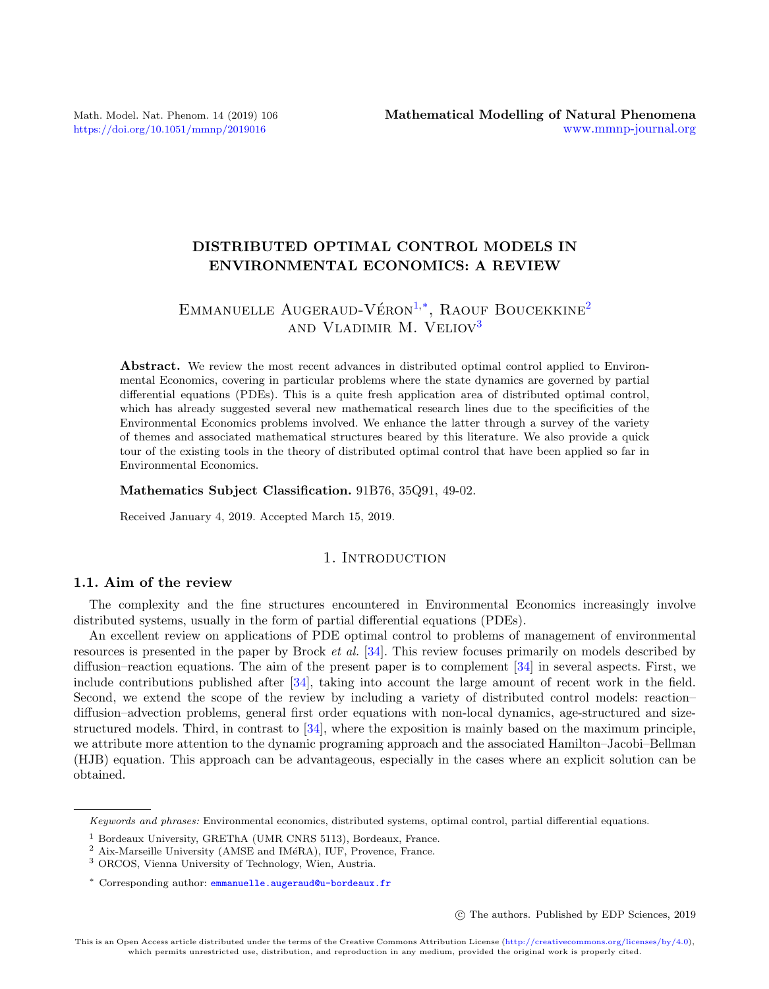<https://doi.org/10.1051/mmnp/2019016>

# DISTRIBUTED OPTIMAL CONTROL MODELS IN ENVIRONMENTAL ECONOMICS: A REVIEW

# EMMANUELLE AUGERAUD-VÉRON<sup>[1,](#page-0-0)[\\*](#page-0-1)</sup>, RAOUF BOUCEKKINE<sup>[2](#page-0-2)</sup> and Vladimir M. Veliov[3](#page-0-3)

Abstract. We review the most recent advances in distributed optimal control applied to Environmental Economics, covering in particular problems where the state dynamics are governed by partial differential equations (PDEs). This is a quite fresh application area of distributed optimal control, which has already suggested several new mathematical research lines due to the specificities of the Environmental Economics problems involved. We enhance the latter through a survey of the variety of themes and associated mathematical structures beared by this literature. We also provide a quick tour of the existing tools in the theory of distributed optimal control that have been applied so far in Environmental Economics.

### Mathematics Subject Classification. 91B76, 35Q91, 49-02.

Received January 4, 2019. Accepted March 15, 2019.

# 1. INTRODUCTION

# 1.1. Aim of the review

The complexity and the fine structures encountered in Environmental Economics increasingly involve distributed systems, usually in the form of partial differential equations (PDEs).

An excellent review on applications of PDE optimal control to problems of management of environmental resources is presented in the paper by Brock et al. [\[34\]](#page-12-0). This review focuses primarily on models described by diffusion–reaction equations. The aim of the present paper is to complement [\[34\]](#page-12-0) in several aspects. First, we include contributions published after [\[34\]](#page-12-0), taking into account the large amount of recent work in the field. Second, we extend the scope of the review by including a variety of distributed control models: reaction– diffusion–advection problems, general first order equations with non-local dynamics, age-structured and sizestructured models. Third, in contrast to [\[34\]](#page-12-0), where the exposition is mainly based on the maximum principle, we attribute more attention to the dynamic programing approach and the associated Hamilton–Jacobi–Bellman (HJB) equation. This approach can be advantageous, especially in the cases where an explicit solution can be obtained.

c The authors. Published by EDP Sciences, 2019

<span id="page-0-1"></span>Keywords and phrases: Environmental economics, distributed systems, optimal control, partial differential equations.

<span id="page-0-0"></span><sup>1</sup> Bordeaux University, GREThA (UMR CNRS 5113), Bordeaux, France.

<span id="page-0-2"></span><sup>&</sup>lt;sup>2</sup> Aix-Marseille University (AMSE and IMéRA), IUF, Provence, France.

<span id="page-0-3"></span><sup>3</sup> ORCOS, Vienna University of Technology, Wien, Austria.

<sup>\*</sup> Corresponding author: [emmanuelle.augeraud@u-bordeaux.fr](mailto:emmanuelle.augeraud@u-bordeaux.fr)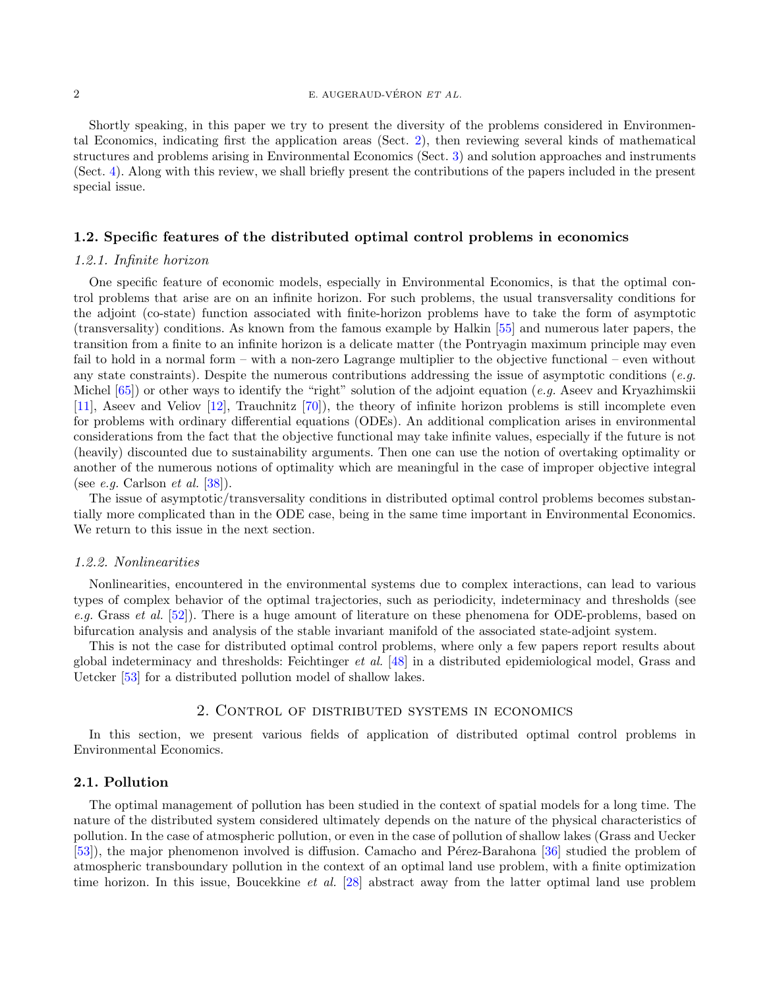Shortly speaking, in this paper we try to present the diversity of the problems considered in Environmental Economics, indicating first the application areas (Sect. [2\)](#page-1-0), then reviewing several kinds of mathematical structures and problems arising in Environmental Economics (Sect. [3\)](#page-5-0) and solution approaches and instruments (Sect. [4\)](#page-8-0). Along with this review, we shall briefly present the contributions of the papers included in the present special issue.

# 1.2. Specific features of the distributed optimal control problems in economics

# <span id="page-1-1"></span>1.2.1. Infinite horizon

One specific feature of economic models, especially in Environmental Economics, is that the optimal control problems that arise are on an infinite horizon. For such problems, the usual transversality conditions for the adjoint (co-state) function associated with finite-horizon problems have to take the form of asymptotic (transversality) conditions. As known from the famous example by Halkin [\[55\]](#page-12-1) and numerous later papers, the transition from a finite to an infinite horizon is a delicate matter (the Pontryagin maximum principle may even fail to hold in a normal form – with a non-zero Lagrange multiplier to the objective functional – even without any state constraints). Despite the numerous contributions addressing the issue of asymptotic conditions (e.g. Michel  $[65]$ ) or other ways to identify the "right" solution of the adjoint equation (e.g. Aseev and Kryazhimskii) [\[11\]](#page-11-0), Aseev and Veliov [\[12\]](#page-11-1), Trauchnitz [\[70\]](#page-13-0)), the theory of infinite horizon problems is still incomplete even for problems with ordinary differential equations (ODEs). An additional complication arises in environmental considerations from the fact that the objective functional may take infinite values, especially if the future is not (heavily) discounted due to sustainability arguments. Then one can use the notion of overtaking optimality or another of the numerous notions of optimality which are meaningful in the case of improper objective integral (see  $e.g.$  Carlson  $et \ al.$  [\[38\]](#page-12-3)).

The issue of asymptotic/transversality conditions in distributed optimal control problems becomes substantially more complicated than in the ODE case, being in the same time important in Environmental Economics. We return to this issue in the next section.

# 1.2.2. Nonlinearities

Nonlinearities, encountered in the environmental systems due to complex interactions, can lead to various types of complex behavior of the optimal trajectories, such as periodicity, indeterminacy and thresholds (see e.g. Grass et al.  $[52]$ ). There is a huge amount of literature on these phenomena for ODE-problems, based on bifurcation analysis and analysis of the stable invariant manifold of the associated state-adjoint system.

This is not the case for distributed optimal control problems, where only a few papers report results about global indeterminacy and thresholds: Feichtinger et al. [\[48\]](#page-12-5) in a distributed epidemiological model, Grass and Uetcker [\[53\]](#page-12-6) for a distributed pollution model of shallow lakes.

# 2. Control of distributed systems in economics

<span id="page-1-0"></span>In this section, we present various fields of application of distributed optimal control problems in Environmental Economics.

# 2.1. Pollution

The optimal management of pollution has been studied in the context of spatial models for a long time. The nature of the distributed system considered ultimately depends on the nature of the physical characteristics of pollution. In the case of atmospheric pollution, or even in the case of pollution of shallow lakes (Grass and Uecker [\[53\]](#page-12-6)), the major phenomenon involved is diffusion. Camacho and Pérez-Barahona [\[36\]](#page-12-7) studied the problem of atmospheric transboundary pollution in the context of an optimal land use problem, with a finite optimization time horizon. In this issue, Boucekkine et al. [\[28\]](#page-11-2) abstract away from the latter optimal land use problem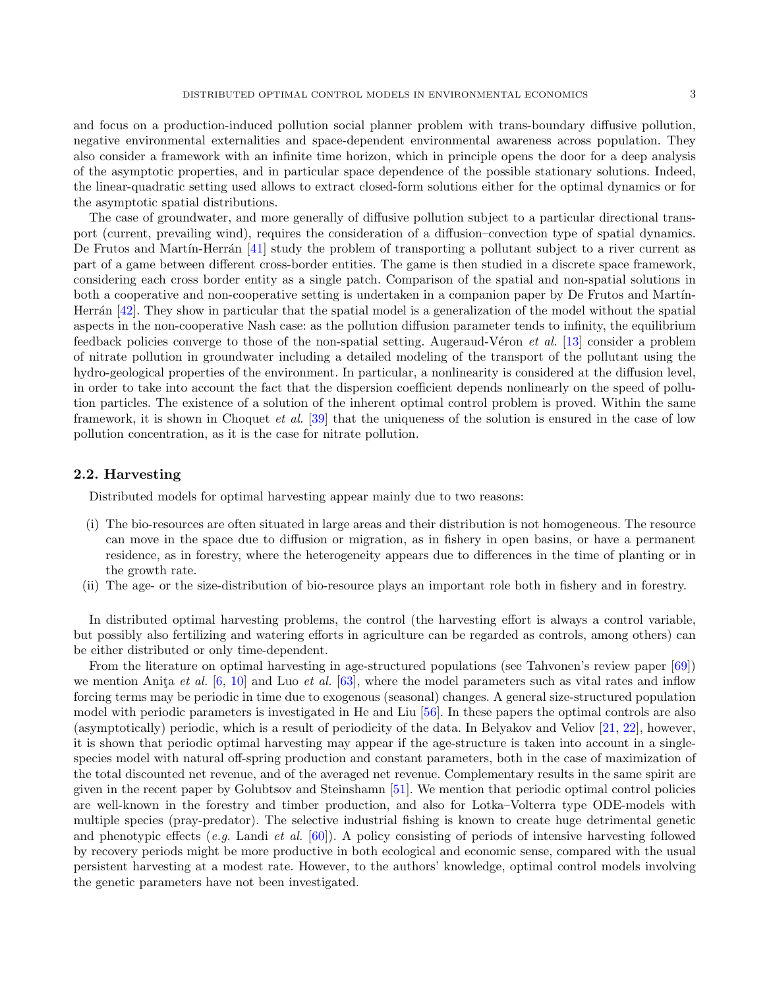and focus on a production-induced pollution social planner problem with trans-boundary diffusive pollution, negative environmental externalities and space-dependent environmental awareness across population. They also consider a framework with an infinite time horizon, which in principle opens the door for a deep analysis of the asymptotic properties, and in particular space dependence of the possible stationary solutions. Indeed, the linear-quadratic setting used allows to extract closed-form solutions either for the optimal dynamics or for the asymptotic spatial distributions.

The case of groundwater, and more generally of diffusive pollution subject to a particular directional transport (current, prevailing wind), requires the consideration of a diffusion–convection type of spatial dynamics. De Frutos and Martín-Herrán [\[41\]](#page-12-8) study the problem of transporting a pollutant subject to a river current as part of a game between different cross-border entities. The game is then studied in a discrete space framework, considering each cross border entity as a single patch. Comparison of the spatial and non-spatial solutions in both a cooperative and non-cooperative setting is undertaken in a companion paper by De Frutos and Martín-Herrán  $[42]$ . They show in particular that the spatial model is a generalization of the model without the spatial aspects in the non-cooperative Nash case: as the pollution diffusion parameter tends to infinity, the equilibrium feedback policies converge to those of the non-spatial setting. Augeraud-Véron et al. [\[13\]](#page-11-3) consider a problem of nitrate pollution in groundwater including a detailed modeling of the transport of the pollutant using the hydro-geological properties of the environment. In particular, a nonlinearity is considered at the diffusion level, in order to take into account the fact that the dispersion coefficient depends nonlinearly on the speed of pollution particles. The existence of a solution of the inherent optimal control problem is proved. Within the same framework, it is shown in Choquet et al. [\[39\]](#page-12-10) that the uniqueness of the solution is ensured in the case of low pollution concentration, as it is the case for nitrate pollution.

# 2.2. Harvesting

Distributed models for optimal harvesting appear mainly due to two reasons:

- (i) The bio-resources are often situated in large areas and their distribution is not homogeneous. The resource can move in the space due to diffusion or migration, as in fishery in open basins, or have a permanent residence, as in forestry, where the heterogeneity appears due to differences in the time of planting or in the growth rate.
- (ii) The age- or the size-distribution of bio-resource plays an important role both in fishery and in forestry.

In distributed optimal harvesting problems, the control (the harvesting effort is always a control variable, but possibly also fertilizing and watering efforts in agriculture can be regarded as controls, among others) can be either distributed or only time-dependent.

From the literature on optimal harvesting in age-structured populations (see Tahvonen's review paper [\[69\]](#page-13-1)) we mention Anita *et al.* [\[6,](#page-11-4) [10\]](#page-11-5) and Luo *et al.* [\[63\]](#page-12-11), where the model parameters such as vital rates and inflow forcing terms may be periodic in time due to exogenous (seasonal) changes. A general size-structured population model with periodic parameters is investigated in He and Liu [\[56\]](#page-12-12). In these papers the optimal controls are also (asymptotically) periodic, which is a result of periodicity of the data. In Belyakov and Veliov [\[21,](#page-11-6) [22\]](#page-11-7), however, it is shown that periodic optimal harvesting may appear if the age-structure is taken into account in a singlespecies model with natural off-spring production and constant parameters, both in the case of maximization of the total discounted net revenue, and of the averaged net revenue. Complementary results in the same spirit are given in the recent paper by Golubtsov and Steinshamn [\[51\]](#page-12-13). We mention that periodic optimal control policies are well-known in the forestry and timber production, and also for Lotka–Volterra type ODE-models with multiple species (pray-predator). The selective industrial fishing is known to create huge detrimental genetic and phenotypic effects (e.g. Landi et al.  $[60]$ ). A policy consisting of periods of intensive harvesting followed by recovery periods might be more productive in both ecological and economic sense, compared with the usual persistent harvesting at a modest rate. However, to the authors' knowledge, optimal control models involving the genetic parameters have not been investigated.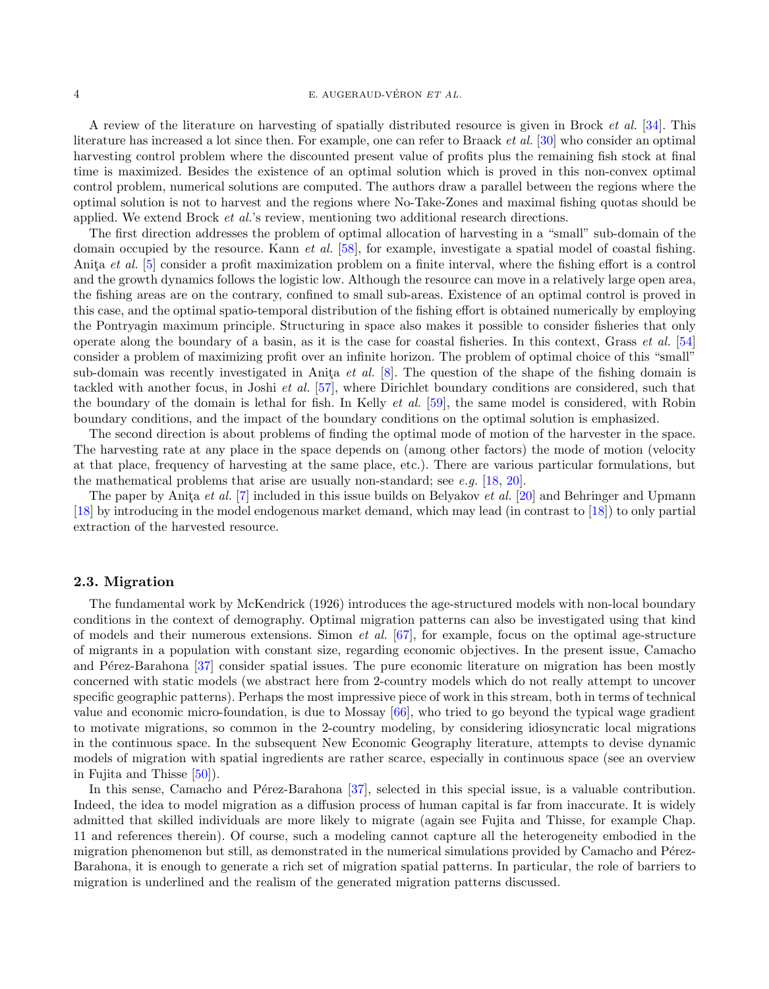A review of the literature on harvesting of spatially distributed resource is given in Brock et al. [\[34\]](#page-12-0). This literature has increased a lot since then. For example, one can refer to Braack et al. [\[30\]](#page-11-8) who consider an optimal harvesting control problem where the discounted present value of profits plus the remaining fish stock at final time is maximized. Besides the existence of an optimal solution which is proved in this non-convex optimal control problem, numerical solutions are computed. The authors draw a parallel between the regions where the optimal solution is not to harvest and the regions where No-Take-Zones and maximal fishing quotas should be applied. We extend Brock et al.'s review, mentioning two additional research directions.

The first direction addresses the problem of optimal allocation of harvesting in a "small" sub-domain of the domain occupied by the resource. Kann et al. [\[58\]](#page-12-15), for example, investigate a spatial model of coastal fishing. Anita et al.  $[5]$  consider a profit maximization problem on a finite interval, where the fishing effort is a control and the growth dynamics follows the logistic low. Although the resource can move in a relatively large open area, the fishing areas are on the contrary, confined to small sub-areas. Existence of an optimal control is proved in this case, and the optimal spatio-temporal distribution of the fishing effort is obtained numerically by employing the Pontryagin maximum principle. Structuring in space also makes it possible to consider fisheries that only operate along the boundary of a basin, as it is the case for coastal fisheries. In this context, Grass et al. [\[54\]](#page-12-16) consider a problem of maximizing profit over an infinite horizon. The problem of optimal choice of this "small" sub-domain was recently investigated in Anita *et al.* [\[8\]](#page-11-10). The question of the shape of the fishing domain is tackled with another focus, in Joshi et al. [\[57\]](#page-12-17), where Dirichlet boundary conditions are considered, such that the boundary of the domain is lethal for fish. In Kelly et al. [\[59\]](#page-12-18), the same model is considered, with Robin boundary conditions, and the impact of the boundary conditions on the optimal solution is emphasized.

The second direction is about problems of finding the optimal mode of motion of the harvester in the space. The harvesting rate at any place in the space depends on (among other factors) the mode of motion (velocity at that place, frequency of harvesting at the same place, etc.). There are various particular formulations, but the mathematical problems that arise are usually non-standard; see e.g. [\[18,](#page-11-11) [20\]](#page-11-12).

The paper by Anita *et al.* [\[7\]](#page-11-13) included in this issue builds on Belyakov *et al.* [\[20\]](#page-11-12) and Behringer and Upmann [\[18\]](#page-11-11) by introducing in the model endogenous market demand, which may lead (in contrast to [\[18\]](#page-11-11)) to only partial extraction of the harvested resource.

# 2.3. Migration

The fundamental work by McKendrick (1926) introduces the age-structured models with non-local boundary conditions in the context of demography. Optimal migration patterns can also be investigated using that kind of models and their numerous extensions. Simon *et al.*  $[67]$ , for example, focus on the optimal age-structure of migrants in a population with constant size, regarding economic objectives. In the present issue, Camacho and Pérez-Barahona [\[37\]](#page-12-19) consider spatial issues. The pure economic literature on migration has been mostly concerned with static models (we abstract here from 2-country models which do not really attempt to uncover specific geographic patterns). Perhaps the most impressive piece of work in this stream, both in terms of technical value and economic micro-foundation, is due to Mossay [\[66\]](#page-12-20), who tried to go beyond the typical wage gradient to motivate migrations, so common in the 2-country modeling, by considering idiosyncratic local migrations in the continuous space. In the subsequent New Economic Geography literature, attempts to devise dynamic models of migration with spatial ingredients are rather scarce, especially in continuous space (see an overview in Fujita and Thisse [\[50\]](#page-12-21)).

In this sense, Camacho and Pérez-Barahona [\[37\]](#page-12-19), selected in this special issue, is a valuable contribution. Indeed, the idea to model migration as a diffusion process of human capital is far from inaccurate. It is widely admitted that skilled individuals are more likely to migrate (again see Fujita and Thisse, for example Chap. 11 and references therein). Of course, such a modeling cannot capture all the heterogeneity embodied in the migration phenomenon but still, as demonstrated in the numerical simulations provided by Camacho and Pérez-Barahona, it is enough to generate a rich set of migration spatial patterns. In particular, the role of barriers to migration is underlined and the realism of the generated migration patterns discussed.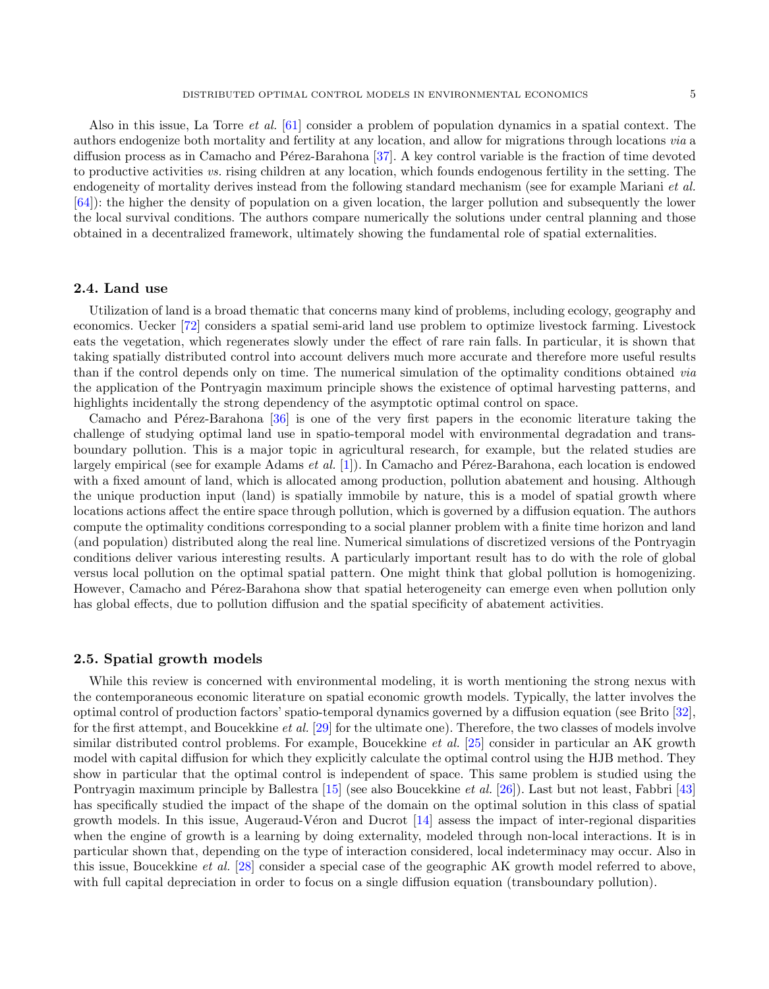Also in this issue, La Torre et al. [\[61\]](#page-12-22) consider a problem of population dynamics in a spatial context. The authors endogenize both mortality and fertility at any location, and allow for migrations through locations via a diffusion process as in Camacho and Pérez-Barahona  $[37]$ . A key control variable is the fraction of time devoted to productive activities vs. rising children at any location, which founds endogenous fertility in the setting. The endogeneity of mortality derives instead from the following standard mechanism (see for example Mariani et al. [\[64\]](#page-12-23)): the higher the density of population on a given location, the larger pollution and subsequently the lower the local survival conditions. The authors compare numerically the solutions under central planning and those obtained in a decentralized framework, ultimately showing the fundamental role of spatial externalities.

## 2.4. Land use

Utilization of land is a broad thematic that concerns many kind of problems, including ecology, geography and economics. Uecker [\[72\]](#page-13-3) considers a spatial semi-arid land use problem to optimize livestock farming. Livestock eats the vegetation, which regenerates slowly under the effect of rare rain falls. In particular, it is shown that taking spatially distributed control into account delivers much more accurate and therefore more useful results than if the control depends only on time. The numerical simulation of the optimality conditions obtained via the application of the Pontryagin maximum principle shows the existence of optimal harvesting patterns, and highlights incidentally the strong dependency of the asymptotic optimal control on space.

Camacho and Pérez-Barahona  $[36]$  is one of the very first papers in the economic literature taking the challenge of studying optimal land use in spatio-temporal model with environmental degradation and transboundary pollution. This is a major topic in agricultural research, for example, but the related studies are largely empirical (see for example Adams *et al.* [\[1\]](#page-11-14)). In Camacho and Pérez-Barahona, each location is endowed with a fixed amount of land, which is allocated among production, pollution abatement and housing. Although the unique production input (land) is spatially immobile by nature, this is a model of spatial growth where locations actions affect the entire space through pollution, which is governed by a diffusion equation. The authors compute the optimality conditions corresponding to a social planner problem with a finite time horizon and land (and population) distributed along the real line. Numerical simulations of discretized versions of the Pontryagin conditions deliver various interesting results. A particularly important result has to do with the role of global versus local pollution on the optimal spatial pattern. One might think that global pollution is homogenizing. However, Camacho and Pérez-Barahona show that spatial heterogeneity can emerge even when pollution only has global effects, due to pollution diffusion and the spatial specificity of abatement activities.

#### 2.5. Spatial growth models

While this review is concerned with environmental modeling, it is worth mentioning the strong nexus with the contemporaneous economic literature on spatial economic growth models. Typically, the latter involves the optimal control of production factors' spatio-temporal dynamics governed by a diffusion equation (see Brito [\[32\]](#page-12-24), for the first attempt, and Boucekkine et al. [\[29\]](#page-11-15) for the ultimate one). Therefore, the two classes of models involve similar distributed control problems. For example, Boucekkine et al. [\[25\]](#page-11-16) consider in particular an AK growth model with capital diffusion for which they explicitly calculate the optimal control using the HJB method. They show in particular that the optimal control is independent of space. This same problem is studied using the Pontryagin maximum principle by Ballestra [\[15\]](#page-11-17) (see also Boucekkine et al. [\[26\]](#page-11-18)). Last but not least, Fabbri [\[43\]](#page-12-25) has specifically studied the impact of the shape of the domain on the optimal solution in this class of spatial growth models. In this issue, Augeraud-Véron and Ducrot  $[14]$  assess the impact of inter-regional disparities when the engine of growth is a learning by doing externality, modeled through non-local interactions. It is in particular shown that, depending on the type of interaction considered, local indeterminacy may occur. Also in this issue, Boucekkine et al. [\[28\]](#page-11-2) consider a special case of the geographic AK growth model referred to above, with full capital depreciation in order to focus on a single diffusion equation (transboundary pollution).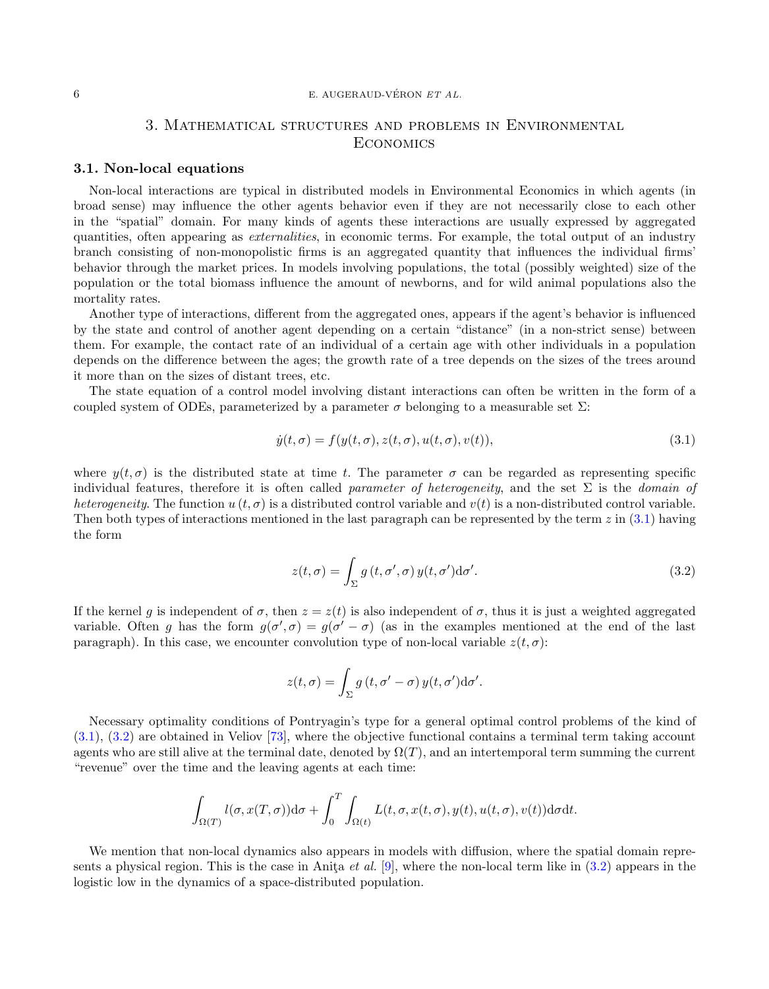# 3. Mathematical structures and problems in Environmental **ECONOMICS**

# <span id="page-5-0"></span>3.1. Non-local equations

Non-local interactions are typical in distributed models in Environmental Economics in which agents (in broad sense) may influence the other agents behavior even if they are not necessarily close to each other in the "spatial" domain. For many kinds of agents these interactions are usually expressed by aggregated quantities, often appearing as externalities, in economic terms. For example, the total output of an industry branch consisting of non-monopolistic firms is an aggregated quantity that influences the individual firms' behavior through the market prices. In models involving populations, the total (possibly weighted) size of the population or the total biomass influence the amount of newborns, and for wild animal populations also the mortality rates.

Another type of interactions, different from the aggregated ones, appears if the agent's behavior is influenced by the state and control of another agent depending on a certain "distance" (in a non-strict sense) between them. For example, the contact rate of an individual of a certain age with other individuals in a population depends on the difference between the ages; the growth rate of a tree depends on the sizes of the trees around it more than on the sizes of distant trees, etc.

The state equation of a control model involving distant interactions can often be written in the form of a coupled system of ODEs, parameterized by a parameter  $\sigma$  belonging to a measurable set  $\Sigma$ :

<span id="page-5-1"></span>
$$
\dot{y}(t,\sigma) = f(y(t,\sigma), z(t,\sigma), u(t,\sigma), v(t)),\tag{3.1}
$$

where  $y(t, \sigma)$  is the distributed state at time t. The parameter  $\sigma$  can be regarded as representing specific individual features, therefore it is often called parameter of heterogeneity, and the set  $\Sigma$  is the domain of heterogeneity. The function  $u(t, \sigma)$  is a distributed control variable and  $v(t)$  is a non-distributed control variable. Then both types of interactions mentioned in the last paragraph can be represented by the term  $z$  in  $(3.1)$  having the form

<span id="page-5-2"></span>
$$
z(t,\sigma) = \int_{\Sigma} g(t,\sigma',\sigma) y(t,\sigma') d\sigma'. \tag{3.2}
$$

If the kernel g is independent of  $\sigma$ , then  $z = z(t)$  is also independent of  $\sigma$ , thus it is just a weighted aggregated variable. Often g has the form  $g(\sigma', \sigma) = g(\sigma' - \sigma)$  (as in the examples mentioned at the end of the last paragraph). In this case, we encounter convolution type of non-local variable  $z(t, \sigma)$ :

$$
z(t,\sigma) = \int_{\Sigma} g(t,\sigma'-\sigma) y(t,\sigma') d\sigma'.
$$

Necessary optimality conditions of Pontryagin's type for a general optimal control problems of the kind of [\(3.1\)](#page-5-1), [\(3.2\)](#page-5-2) are obtained in Veliov [\[73\]](#page-13-4), where the objective functional contains a terminal term taking account agents who are still alive at the terminal date, denoted by  $\Omega(T)$ , and an intertemporal term summing the current "revenue" over the time and the leaving agents at each time:

$$
\int_{\Omega(T)} l(\sigma, x(T, \sigma)) \mathrm{d}\sigma + \int_0^T \int_{\Omega(t)} L(t, \sigma, x(t, \sigma), y(t), u(t, \sigma), v(t)) \mathrm{d}\sigma \mathrm{d}t.
$$

We mention that non-local dynamics also appears in models with diffusion, where the spatial domain represents a physical region. This is the case in Anita *et al.* [\[9\]](#page-11-20), where the non-local term like in  $(3.2)$  appears in the logistic low in the dynamics of a space-distributed population.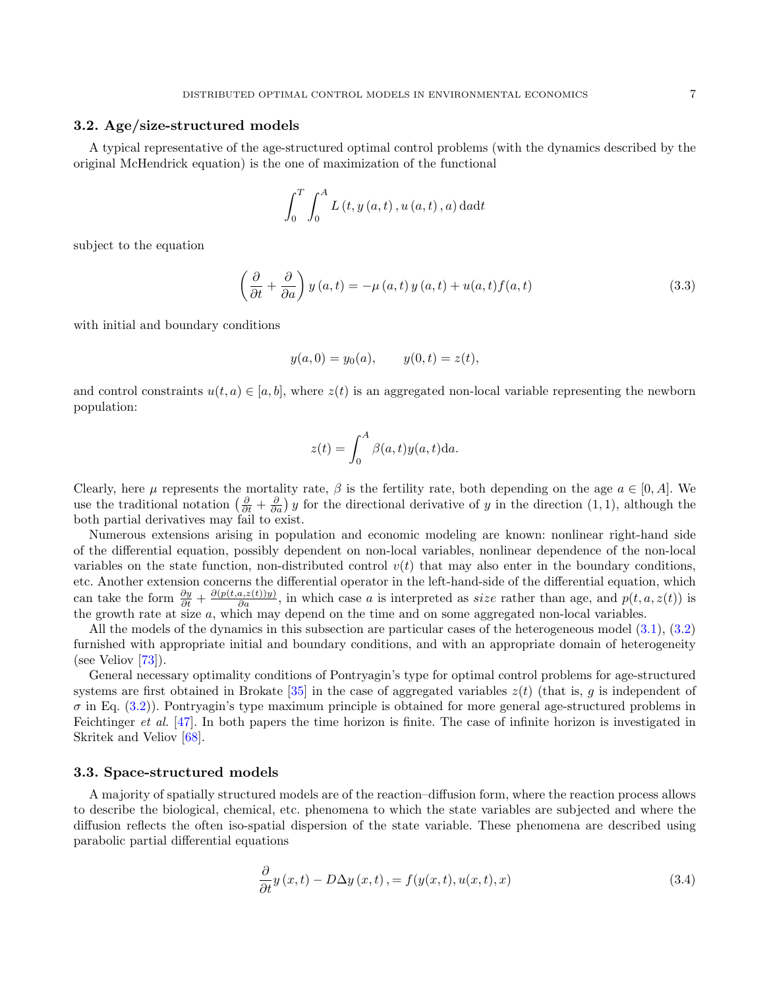# 3.2. Age/size-structured models

A typical representative of the age-structured optimal control problems (with the dynamics described by the original McHendrick equation) is the one of maximization of the functional

$$
\int_0^T \int_0^A L(t, y(a, t), u(a, t), a) \, \mathrm{d}a \mathrm{d}t
$$

subject to the equation

<span id="page-6-1"></span>
$$
\left(\frac{\partial}{\partial t} + \frac{\partial}{\partial a}\right) y(a, t) = -\mu(a, t) y(a, t) + u(a, t) f(a, t)
$$
\n(3.3)

with initial and boundary conditions

$$
y(a, 0) = y_0(a),
$$
  $y(0,t) = z(t),$ 

and control constraints  $u(t, a) \in [a, b]$ , where  $z(t)$  is an aggregated non-local variable representing the newborn population:

$$
z(t) = \int_0^A \beta(a, t) y(a, t) da.
$$

Clearly, here  $\mu$  represents the mortality rate,  $\beta$  is the fertility rate, both depending on the age  $a \in [0, A]$ . We use the traditional notation  $\left(\frac{\partial}{\partial t} + \frac{\partial}{\partial a}\right)y$  for the directional derivative of y in the direction  $(1, 1)$ , although the both partial derivatives may fail to exist.

Numerous extensions arising in population and economic modeling are known: nonlinear right-hand side of the differential equation, possibly dependent on non-local variables, nonlinear dependence of the non-local variables on the state function, non-distributed control  $v(t)$  that may also enter in the boundary conditions, etc. Another extension concerns the differential operator in the left-hand-side of the differential equation, which can take the form  $\frac{\partial y}{\partial t} + \frac{\partial (p(t,a,z(t))y)}{\partial a}$ , in which case a is interpreted as size rather than age, and  $p(t,a,z(t))$  is the growth rate at size a, which may depend on the time and on some aggregated non-local variables.

All the models of the dynamics in this subsection are particular cases of the heterogeneous model [\(3.1\)](#page-5-1), [\(3.2\)](#page-5-2) furnished with appropriate initial and boundary conditions, and with an appropriate domain of heterogeneity (see Veliov [\[73\]](#page-13-4)).

General necessary optimality conditions of Pontryagin's type for optimal control problems for age-structured systems are first obtained in Brokate  $[35]$  in the case of aggregated variables  $z(t)$  (that is, g is independent of  $\sigma$  in Eq. [\(3.2\)](#page-5-2)). Pontryagin's type maximum principle is obtained for more general age-structured problems in Feichtinger *et al.* [\[47\]](#page-12-27). In both papers the time horizon is finite. The case of infinite horizon is investigated in Skritek and Veliov [\[68\]](#page-13-5).

## 3.3. Space-structured models

A majority of spatially structured models are of the reaction–diffusion form, where the reaction process allows to describe the biological, chemical, etc. phenomena to which the state variables are subjected and where the diffusion reflects the often iso-spatial dispersion of the state variable. These phenomena are described using parabolic partial differential equations

<span id="page-6-0"></span>
$$
\frac{\partial}{\partial t}y(x,t) - D\Delta y(x,t) = f(y(x,t), u(x,t), x)
$$
\n(3.4)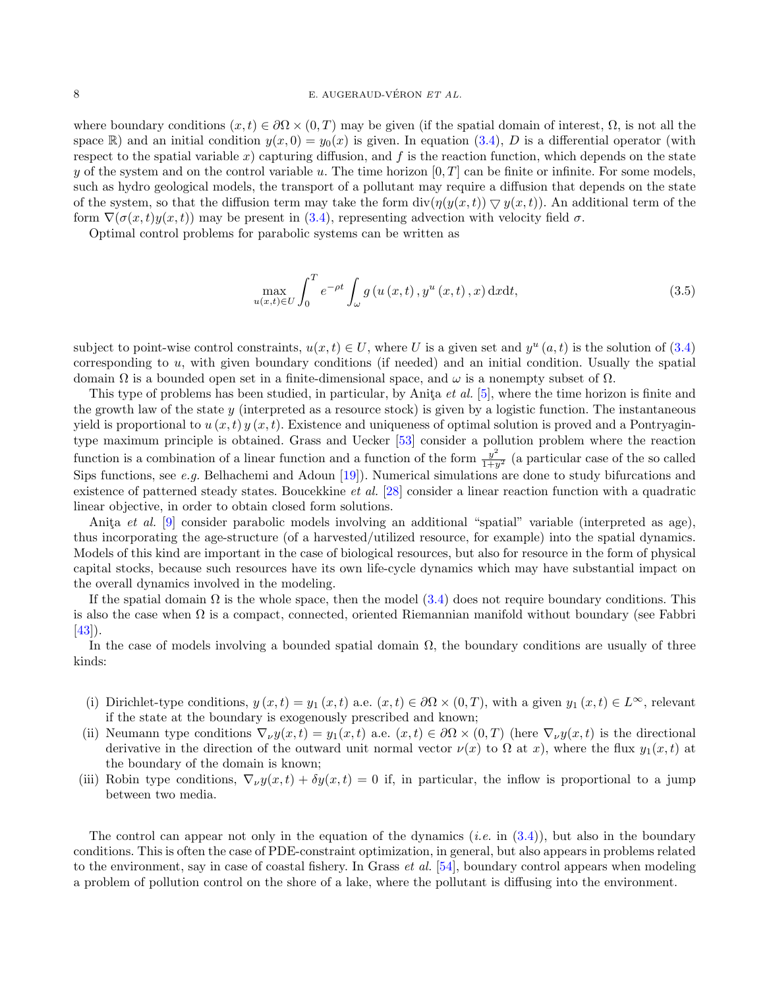where boundary conditions  $(x, t) \in \partial\Omega \times (0, T)$  may be given (if the spatial domain of interest,  $\Omega$ , is not all the space R) and an initial condition  $y(x, 0) = y_0(x)$  is given. In equation [\(3.4\)](#page-6-0), D is a differential operator (with respect to the spatial variable x) capturing diffusion, and  $f$  is the reaction function, which depends on the state y of the system and on the control variable y. The time horizon  $[0, T]$  can be finite or infinite. For some models, such as hydro geological models, the transport of a pollutant may require a diffusion that depends on the state of the system, so that the diffusion term may take the form  $\text{div}(\eta(y(x,t)) \nabla y(x,t))$ . An additional term of the form  $\nabla(\sigma(x,t)y(x,t))$  may be present in [\(3.4\)](#page-6-0), representing advection with velocity field  $\sigma$ .

Optimal control problems for parabolic systems can be written as

<span id="page-7-0"></span>
$$
\max_{u(x,t)\in U} \int_0^T e^{-\rho t} \int_{\omega} g\left(u\left(x,t\right),y^u\left(x,t\right),x\right) \mathrm{d}x \mathrm{d}t,\tag{3.5}
$$

subject to point-wise control constraints,  $u(x,t) \in U$ , where U is a given set and  $y^u(a,t)$  is the solution of [\(3.4\)](#page-6-0) corresponding to u, with given boundary conditions (if needed) and an initial condition. Usually the spatial domain  $\Omega$  is a bounded open set in a finite-dimensional space, and  $\omega$  is a nonempty subset of  $\Omega$ .

This type of problems has been studied, in particular, by Anita *et al.* [\[5\]](#page-11-9), where the time horizon is finite and the growth law of the state y (interpreted as a resource stock) is given by a logistic function. The instantaneous yield is proportional to  $u(x, t)$   $y(x, t)$ . Existence and uniqueness of optimal solution is proved and a Pontryagintype maximum principle is obtained. Grass and Uecker [\[53\]](#page-12-6) consider a pollution problem where the reaction function is a combination of a linear function and a function of the form  $\frac{y^2}{1+y^2}$  (a particular case of the so called Sips functions, see e.g. Belhachemi and Adoun  $[19]$ ). Numerical simulations are done to study bifurcations and existence of patterned steady states. Boucekkine *et al.* [\[28\]](#page-11-2) consider a linear reaction function with a quadratic linear objective, in order to obtain closed form solutions.

Anita et al. [\[9\]](#page-11-20) consider parabolic models involving an additional "spatial" variable (interpreted as age). thus incorporating the age-structure (of a harvested/utilized resource, for example) into the spatial dynamics. Models of this kind are important in the case of biological resources, but also for resource in the form of physical capital stocks, because such resources have its own life-cycle dynamics which may have substantial impact on the overall dynamics involved in the modeling.

If the spatial domain  $\Omega$  is the whole space, then the model [\(3.4\)](#page-6-0) does not require boundary conditions. This is also the case when  $\Omega$  is a compact, connected, oriented Riemannian manifold without boundary (see Fabbri  $[43]$ .

In the case of models involving a bounded spatial domain  $\Omega$ , the boundary conditions are usually of three kinds:

- (i) Dirichlet-type conditions,  $y(x,t) = y_1(x,t)$  a.e.  $(x,t) \in \partial\Omega \times (0,T)$ , with a given  $y_1(x,t) \in L^{\infty}$ , relevant if the state at the boundary is exogenously prescribed and known;
- (ii) Neumann type conditions  $\nabla_{\nu} y(x,t) = y_1(x,t)$  a.e.  $(x,t) \in \partial\Omega \times (0,T)$  (here  $\nabla_{\nu} y(x,t)$  is the directional derivative in the direction of the outward unit normal vector  $\nu(x)$  to  $\Omega$  at x), where the flux  $y_1(x,t)$  at the boundary of the domain is known;
- (iii) Robin type conditions,  $\nabla_{\nu} y(x,t) + \delta y(x,t) = 0$  if, in particular, the inflow is proportional to a jump between two media.

The control can appear not only in the equation of the dynamics (*i.e.* in  $(3.4)$ ), but also in the boundary conditions. This is often the case of PDE-constraint optimization, in general, but also appears in problems related to the environment, say in case of coastal fishery. In Grass *et al.* [\[54\]](#page-12-16), boundary control appears when modeling a problem of pollution control on the shore of a lake, where the pollutant is diffusing into the environment.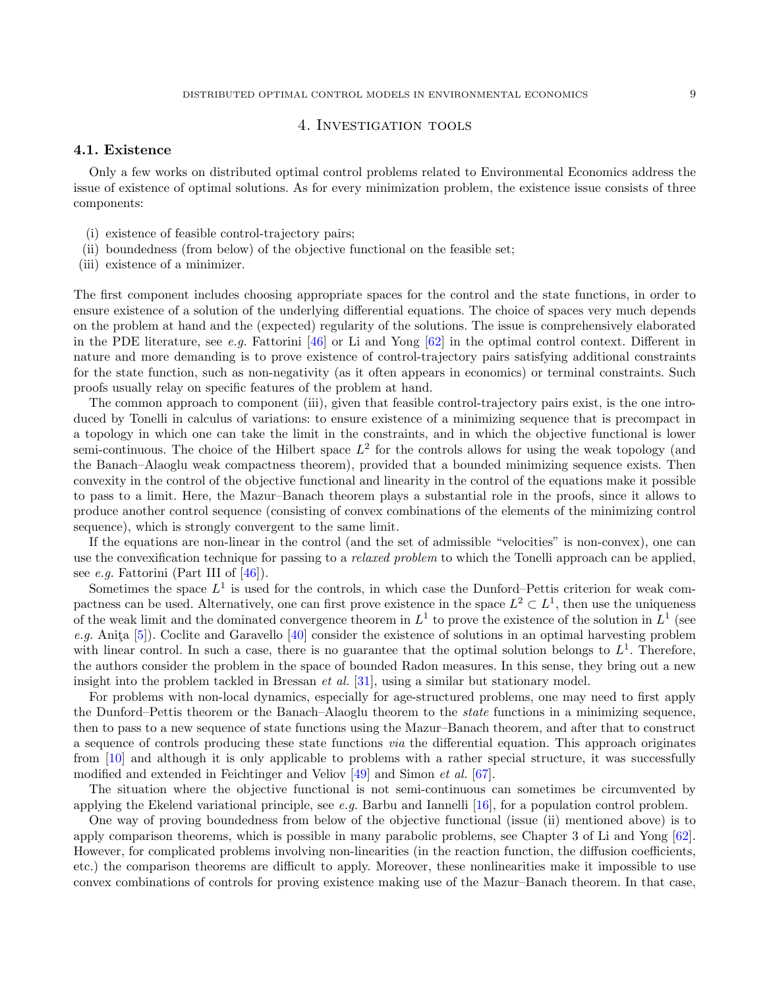# 4. Investigation tools

# <span id="page-8-0"></span>4.1. Existence

Only a few works on distributed optimal control problems related to Environmental Economics address the issue of existence of optimal solutions. As for every minimization problem, the existence issue consists of three components:

- (i) existence of feasible control-trajectory pairs;
- (ii) boundedness (from below) of the objective functional on the feasible set;
- (iii) existence of a minimizer.

The first component includes choosing appropriate spaces for the control and the state functions, in order to ensure existence of a solution of the underlying differential equations. The choice of spaces very much depends on the problem at hand and the (expected) regularity of the solutions. The issue is comprehensively elaborated in the PDE literature, see e.g. Fattorini [\[46\]](#page-12-28) or Li and Yong  $[62]$  in the optimal control context. Different in nature and more demanding is to prove existence of control-trajectory pairs satisfying additional constraints for the state function, such as non-negativity (as it often appears in economics) or terminal constraints. Such proofs usually relay on specific features of the problem at hand.

The common approach to component (iii), given that feasible control-trajectory pairs exist, is the one introduced by Tonelli in calculus of variations: to ensure existence of a minimizing sequence that is precompact in a topology in which one can take the limit in the constraints, and in which the objective functional is lower semi-continuous. The choice of the Hilbert space  $L^2$  for the controls allows for using the weak topology (and the Banach–Alaoglu weak compactness theorem), provided that a bounded minimizing sequence exists. Then convexity in the control of the objective functional and linearity in the control of the equations make it possible to pass to a limit. Here, the Mazur–Banach theorem plays a substantial role in the proofs, since it allows to produce another control sequence (consisting of convex combinations of the elements of the minimizing control sequence), which is strongly convergent to the same limit.

If the equations are non-linear in the control (and the set of admissible "velocities" is non-convex), one can use the convexification technique for passing to a *relaxed problem* to which the Tonelli approach can be applied, see e.g. Fattorini (Part III of  $[46]$ ).

Sometimes the space  $L^1$  is used for the controls, in which case the Dunford–Pettis criterion for weak compactness can be used. Alternatively, one can first prove existence in the space  $L^2 \subset L^1$ , then use the uniqueness of the weak limit and the dominated convergence theorem in  $L^1$  to prove the existence of the solution in  $L^1$  (see e.g. Anita [\[5\]](#page-11-9)). Coclite and Garavello [\[40\]](#page-12-30) consider the existence of solutions in an optimal harvesting problem with linear control. In such a case, there is no guarantee that the optimal solution belongs to  $L^1$ . Therefore, the authors consider the problem in the space of bounded Radon measures. In this sense, they bring out a new insight into the problem tackled in Bressan *et al.* [\[31\]](#page-11-22), using a similar but stationary model.

For problems with non-local dynamics, especially for age-structured problems, one may need to first apply the Dunford–Pettis theorem or the Banach–Alaoglu theorem to the state functions in a minimizing sequence, then to pass to a new sequence of state functions using the Mazur–Banach theorem, and after that to construct a sequence of controls producing these state functions via the differential equation. This approach originates from [\[10\]](#page-11-5) and although it is only applicable to problems with a rather special structure, it was successfully modified and extended in Feichtinger and Veliov [\[49\]](#page-12-31) and Simon et al. [\[67\]](#page-13-2).

The situation where the objective functional is not semi-continuous can sometimes be circumvented by applying the Ekelend variational principle, see e.g. Barbu and Iannelli [\[16\]](#page-11-23), for a population control problem.

One way of proving boundedness from below of the objective functional (issue (ii) mentioned above) is to apply comparison theorems, which is possible in many parabolic problems, see Chapter 3 of Li and Yong [\[62\]](#page-12-29). However, for complicated problems involving non-linearities (in the reaction function, the diffusion coefficients, etc.) the comparison theorems are difficult to apply. Moreover, these nonlinearities make it impossible to use convex combinations of controls for proving existence making use of the Mazur–Banach theorem. In that case,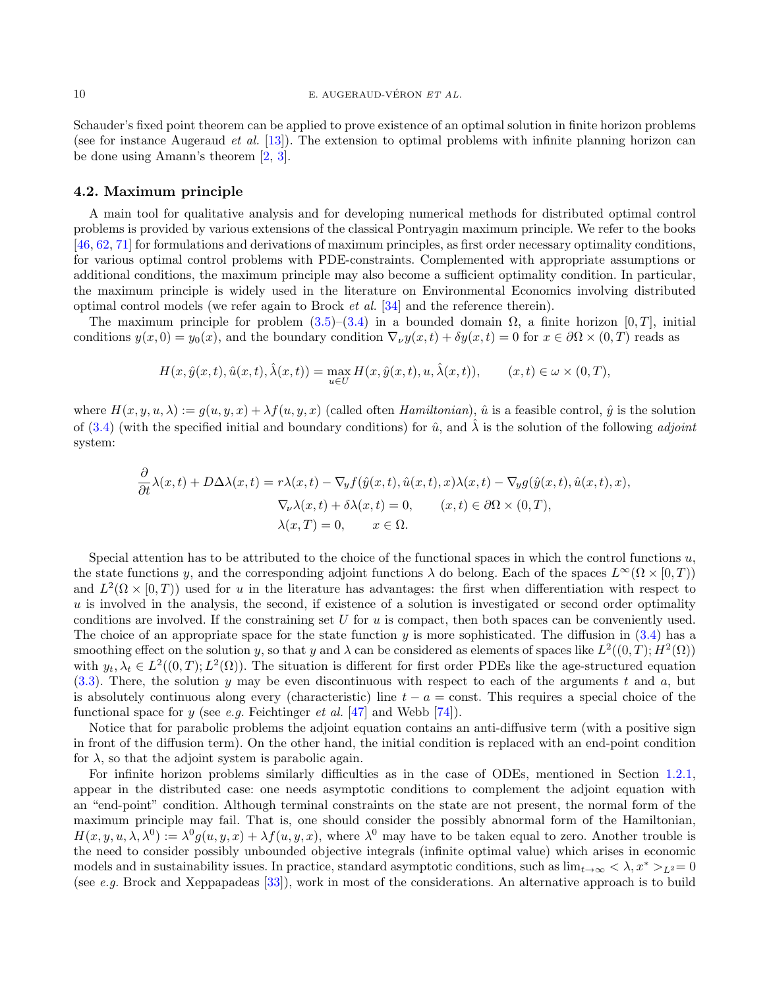Schauder's fixed point theorem can be applied to prove existence of an optimal solution in finite horizon problems (see for instance Augeraud et al. [\[13\]](#page-11-3)). The extension to optimal problems with infinite planning horizon can be done using Amann's theorem [\[2,](#page-11-24) [3\]](#page-11-25).

# 4.2. Maximum principle

A main tool for qualitative analysis and for developing numerical methods for distributed optimal control problems is provided by various extensions of the classical Pontryagin maximum principle. We refer to the books [\[46,](#page-12-28) [62,](#page-12-29) [71\]](#page-13-6) for formulations and derivations of maximum principles, as first order necessary optimality conditions, for various optimal control problems with PDE-constraints. Complemented with appropriate assumptions or additional conditions, the maximum principle may also become a sufficient optimality condition. In particular, the maximum principle is widely used in the literature on Environmental Economics involving distributed optimal control models (we refer again to Brock *et al.* [\[34\]](#page-12-0) and the reference therein).

The maximum principle for problem  $(3.5)$ – $(3.4)$  in a bounded domain  $\Omega$ , a finite horizon  $[0, T]$ , initial conditions  $y(x, 0) = y_0(x)$ , and the boundary condition  $\nabla_{\nu} y(x, t) + \delta y(x, t) = 0$  for  $x \in \partial \Omega \times (0, T)$  reads as

$$
H(x, \hat{y}(x,t), \hat{u}(x,t), \hat{\lambda}(x,t)) = \max_{u \in U} H(x, \hat{y}(x,t), u, \hat{\lambda}(x,t)), \qquad (x,t) \in \omega \times (0,T),
$$

where  $H(x, y, u, \lambda) := g(u, y, x) + \lambda f(u, y, x)$  (called often Hamiltonian),  $\hat{u}$  is a feasible control,  $\hat{y}$  is the solution of [\(3.4\)](#page-6-0) (with the specified initial and boundary conditions) for  $\hat{u}$ , and  $\hat{\lambda}$  is the solution of the following *adjoint* system:

$$
\frac{\partial}{\partial t}\lambda(x,t) + D\Delta\lambda(x,t) = r\lambda(x,t) - \nabla_y f(\hat{y}(x,t), \hat{u}(x,t), x)\lambda(x,t) - \nabla_y g(\hat{y}(x,t), \hat{u}(x,t), x),
$$
  

$$
\nabla_\nu \lambda(x,t) + \delta\lambda(x,t) = 0, \qquad (x,t) \in \partial\Omega \times (0,T),
$$
  

$$
\lambda(x,T) = 0, \qquad x \in \Omega.
$$

Special attention has to be attributed to the choice of the functional spaces in which the control functions  $u$ , the state functions y, and the corresponding adjoint functions  $\lambda$  do belong. Each of the spaces  $L^{\infty}(\Omega \times [0, T))$ and  $L^2(\Omega \times [0,T))$  used for u in the literature has advantages: the first when differentiation with respect to  $u$  is involved in the analysis, the second, if existence of a solution is investigated or second order optimality conditions are involved. If the constraining set  $U$  for  $u$  is compact, then both spaces can be conveniently used. The choice of an appropriate space for the state function  $y$  is more sophisticated. The diffusion in  $(3.4)$  has a smoothing effect on the solution y, so that y and  $\lambda$  can be considered as elements of spaces like  $L^2((0,T); H^2(\Omega))$ with  $y_t, \lambda_t \in L^2((0,T); L^2(\Omega))$ . The situation is different for first order PDEs like the age-structured equation  $(3.3)$ . There, the solution y may be even discontinuous with respect to each of the arguments t and a, but is absolutely continuous along every (characteristic) line  $t - a = \text{const.}$  This requires a special choice of the functional space for y (see e.g. Feichtinger et al.  $[47]$  and Webb  $[74]$ ).

Notice that for parabolic problems the adjoint equation contains an anti-diffusive term (with a positive sign in front of the diffusion term). On the other hand, the initial condition is replaced with an end-point condition for  $\lambda$ , so that the adjoint system is parabolic again.

For infinite horizon problems similarly difficulties as in the case of ODEs, mentioned in Section [1.2.1,](#page-1-1) appear in the distributed case: one needs asymptotic conditions to complement the adjoint equation with an "end-point" condition. Although terminal constraints on the state are not present, the normal form of the maximum principle may fail. That is, one should consider the possibly abnormal form of the Hamiltonian,  $H(x, y, u, \lambda, \lambda^0) := \lambda^0 g(u, y, x) + \lambda f(u, y, x)$ , where  $\lambda^0$  may have to be taken equal to zero. Another trouble is the need to consider possibly unbounded objective integrals (infinite optimal value) which arises in economic models and in sustainability issues. In practice, standard asymptotic conditions, such as  $\lim_{t\to\infty}$  <  $\lambda, x^* >_{L^2} = 0$ (see e.g. Brock and Xeppapadeas [\[33\]](#page-12-32)), work in most of the considerations. An alternative approach is to build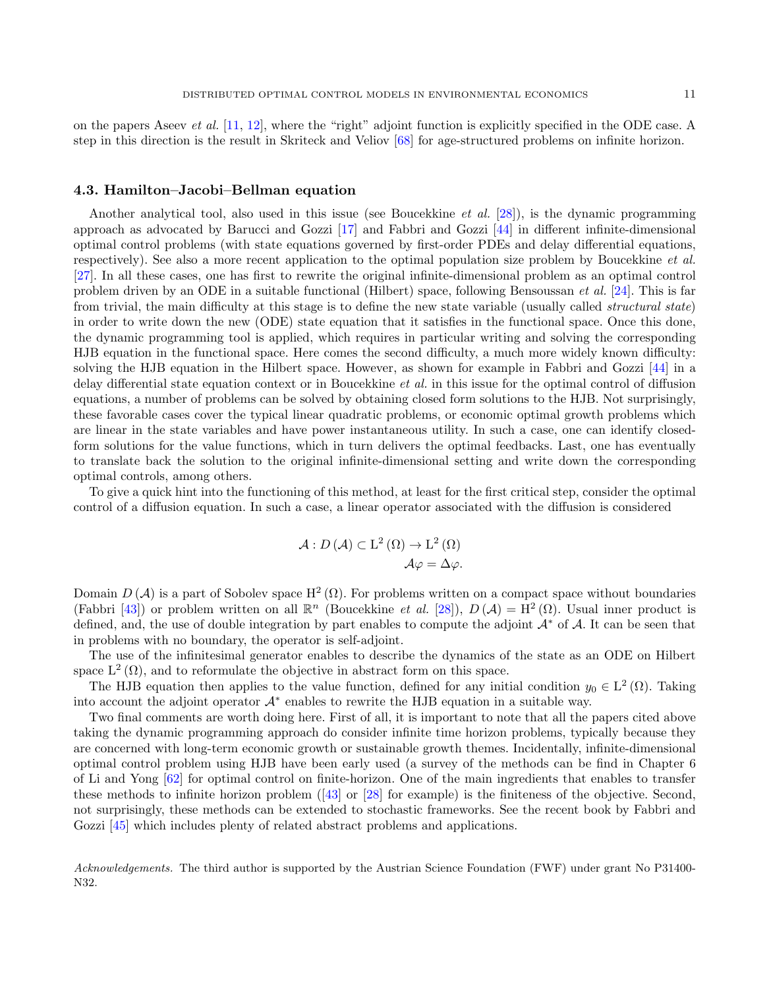on the papers Aseev et al. [\[11,](#page-11-0) [12\]](#page-11-1), where the "right" adjoint function is explicitly specified in the ODE case. A step in this direction is the result in Skriteck and Veliov [\[68\]](#page-13-5) for age-structured problems on infinite horizon.

#### 4.3. Hamilton–Jacobi–Bellman equation

Another analytical tool, also used in this issue (see Boucekkine *et al.* [\[28\]](#page-11-2)), is the dynamic programming approach as advocated by Barucci and Gozzi [\[17\]](#page-11-26) and Fabbri and Gozzi [\[44\]](#page-12-33) in different infinite-dimensional optimal control problems (with state equations governed by first-order PDEs and delay differential equations, respectively). See also a more recent application to the optimal population size problem by Boucekkine et al. [\[27\]](#page-11-27). In all these cases, one has first to rewrite the original infinite-dimensional problem as an optimal control problem driven by an ODE in a suitable functional (Hilbert) space, following Bensoussan et al. [\[24\]](#page-11-28). This is far from trivial, the main difficulty at this stage is to define the new state variable (usually called structural state) in order to write down the new (ODE) state equation that it satisfies in the functional space. Once this done, the dynamic programming tool is applied, which requires in particular writing and solving the corresponding HJB equation in the functional space. Here comes the second difficulty, a much more widely known difficulty: solving the HJB equation in the Hilbert space. However, as shown for example in Fabbri and Gozzi [\[44\]](#page-12-33) in a delay differential state equation context or in Boucekkine et al. in this issue for the optimal control of diffusion equations, a number of problems can be solved by obtaining closed form solutions to the HJB. Not surprisingly, these favorable cases cover the typical linear quadratic problems, or economic optimal growth problems which are linear in the state variables and have power instantaneous utility. In such a case, one can identify closedform solutions for the value functions, which in turn delivers the optimal feedbacks. Last, one has eventually to translate back the solution to the original infinite-dimensional setting and write down the corresponding optimal controls, among others.

To give a quick hint into the functioning of this method, at least for the first critical step, consider the optimal control of a diffusion equation. In such a case, a linear operator associated with the diffusion is considered

$$
\mathcal{A}:D\left(\mathcal{A}\right)\subset\mathrm{L}^{2}\left(\Omega\right)\rightarrow\mathrm{L}^{2}\left(\Omega\right)
$$
  

$$
\mathcal{A}\varphi=\Delta\varphi.
$$

Domain  $D(\mathcal{A})$  is a part of Sobolev space  $H^2(\Omega)$ . For problems written on a compact space without boundaries (Fabbri [\[43\]](#page-12-25)) or problem written on all  $\mathbb{R}^n$  (Boucekkine *et al.* [\[28\]](#page-11-2)),  $D(\mathcal{A}) = H^2(\Omega)$ . Usual inner product is defined, and, the use of double integration by part enables to compute the adjoint  $\mathcal{A}^*$  of  $\mathcal{A}$ . It can be seen that in problems with no boundary, the operator is self-adjoint.

The use of the infinitesimal generator enables to describe the dynamics of the state as an ODE on Hilbert space  $L^2(\Omega)$ , and to reformulate the objective in abstract form on this space.

The HJB equation then applies to the value function, defined for any initial condition  $y_0 \in L^2(\Omega)$ . Taking into account the adjoint operator A<sup>∗</sup> enables to rewrite the HJB equation in a suitable way.

Two final comments are worth doing here. First of all, it is important to note that all the papers cited above taking the dynamic programming approach do consider infinite time horizon problems, typically because they are concerned with long-term economic growth or sustainable growth themes. Incidentally, infinite-dimensional optimal control problem using HJB have been early used (a survey of the methods can be find in Chapter 6 of Li and Yong [\[62\]](#page-12-29) for optimal control on finite-horizon. One of the main ingredients that enables to transfer these methods to infinite horizon problem ([\[43\]](#page-12-25) or [\[28\]](#page-11-2) for example) is the finiteness of the objective. Second, not surprisingly, these methods can be extended to stochastic frameworks. See the recent book by Fabbri and Gozzi [\[45\]](#page-12-34) which includes plenty of related abstract problems and applications.

Acknowledgements. The third author is supported by the Austrian Science Foundation (FWF) under grant No P31400- N32.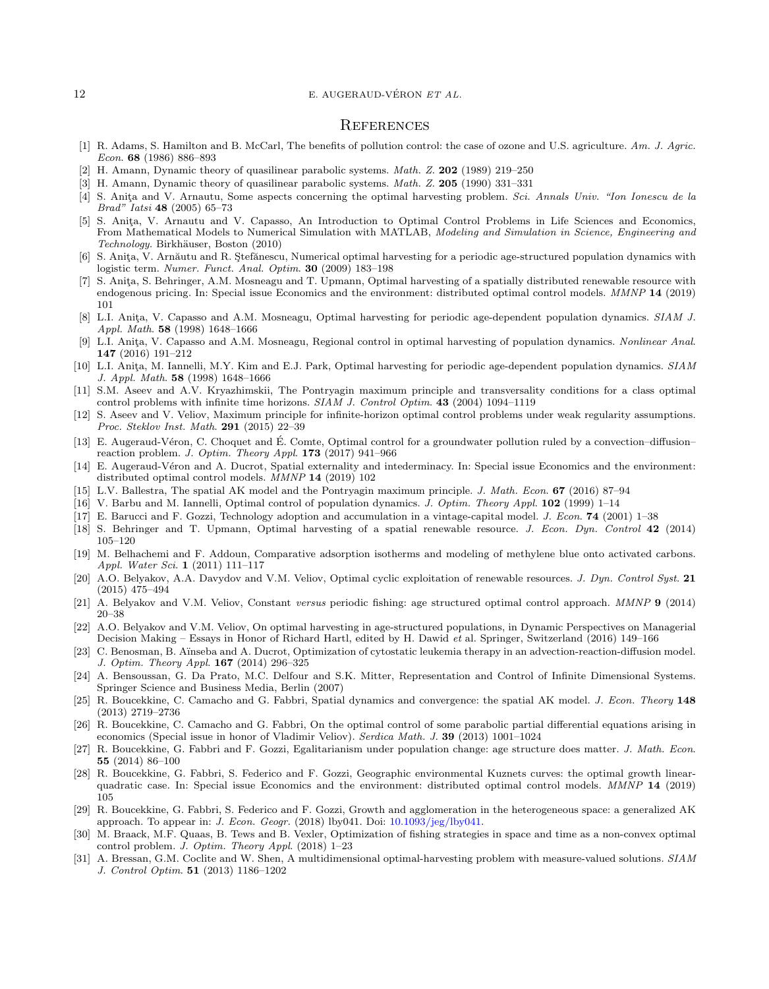#### **REFERENCES**

- <span id="page-11-14"></span>[1] R. Adams, S. Hamilton and B. McCarl, The benefits of pollution control: the case of ozone and U.S. agriculture. Am. J. Agric. Econ. 68 (1986) 886–893
- <span id="page-11-24"></span>[2] H. Amann, Dynamic theory of quasilinear parabolic systems. Math. Z. 202 (1989) 219–250
- <span id="page-11-25"></span>[3] H. Amann, Dynamic theory of quasilinear parabolic systems. Math. Z. 205 (1990) 331–331
- [4] S. Anita and V. Arnautu, Some aspects concerning the optimal harvesting problem. Sci. Annals Univ. "Ion Ionescu de la Brad" Iatsi 48 (2005) 65–73
- <span id="page-11-9"></span>[5] S. Anita, V. Arnautu and V. Capasso, An Introduction to Optimal Control Problems in Life Sciences and Economics, From Mathematical Models to Numerical Simulation with MATLAB, Modeling and Simulation in Science, Engineering and Technology. Birkhäuser, Boston (2010)
- <span id="page-11-4"></span>S. Anita, V. Arnăutu and R. Stefănescu, Numerical optimal harvesting for a periodic age-structured population dynamics with logistic term. Numer. Funct. Anal. Optim. 30 (2009) 183–198
- <span id="page-11-13"></span>[7] S. Anita, S. Behringer, A.M. Mosneagu and T. Upmann, Optimal harvesting of a spatially distributed renewable resource with endogenous pricing. In: Special issue Economics and the environment: distributed optimal control models. MMNP 14 (2019) 101
- <span id="page-11-10"></span>[8] L.I. Anita, V. Capasso and A.M. Mosneagu, Optimal harvesting for periodic age-dependent population dynamics. SIAM J. Appl. Math. 58 (1998) 1648–1666
- <span id="page-11-20"></span>[9] L.I. Anita, V. Capasso and A.M. Mosneagu, Regional control in optimal harvesting of population dynamics. Nonlinear Anal. 147 (2016) 191–212
- <span id="page-11-5"></span>[10] L.I. Anita, M. Iannelli, M.Y. Kim and E.J. Park, Optimal harvesting for periodic age-dependent population dynamics. SIAM J. Appl. Math. 58 (1998) 1648–1666
- <span id="page-11-0"></span>[11] S.M. Aseev and A.V. Kryazhimskii, The Pontryagin maximum principle and transversality conditions for a class optimal control problems with infinite time horizons.  $SIAM$  J. Control Optim. 43 (2004) 1094–1119
- <span id="page-11-1"></span>[12] S. Aseev and V. Veliov, Maximum principle for infinite-horizon optimal control problems under weak regularity assumptions. Proc. Steklov Inst. Math. 291 (2015) 22–39
- <span id="page-11-3"></span>[13] E. Augeraud-Véron, C. Choquet and É. Comte, Optimal control for a groundwater pollution ruled by a convection–diffusion– reaction problem. J. Optim. Theory Appl. 173 (2017) 941–966
- <span id="page-11-19"></span>[14] E. Augeraud-Véron and A. Ducrot, Spatial externality and intederminacy. In: Special issue Economics and the environment: distributed optimal control models. MMNP 14 (2019) 102
- <span id="page-11-17"></span>[15] L.V. Ballestra, The spatial AK model and the Pontryagin maximum principle. J. Math. Econ. **67** (2016) 87–94
- <span id="page-11-23"></span>[16] V. Barbu and M. Iannelli, Optimal control of population dynamics. J. Optim. Theory Appl. 102 (1999) 1–14
- <span id="page-11-26"></span>[17] E. Barucci and F. Gozzi, Technology adoption and accumulation in a vintage-capital model. J. Econ. **74** (2001) 1-38
- <span id="page-11-11"></span>[18] S. Behringer and T. Upmann, Optimal harvesting of a spatial renewable resource. J. Econ. Dyn. Control 42 (2014) 105–120
- <span id="page-11-21"></span>[19] M. Belhachemi and F. Addoun, Comparative adsorption isotherms and modeling of methylene blue onto activated carbons. Appl. Water Sci. 1 (2011) 111–117
- <span id="page-11-12"></span>[20] A.O. Belyakov, A.A. Davydov and V.M. Veliov, Optimal cyclic exploitation of renewable resources. J. Dyn. Control Syst. 21 (2015) 475–494
- <span id="page-11-6"></span>[21] A. Belyakov and V.M. Veliov, Constant versus periodic fishing: age structured optimal control approach. MMNP 9 (2014) 20–38
- <span id="page-11-7"></span>[22] A.O. Belyakov and V.M. Veliov, On optimal harvesting in age-structured populations, in Dynamic Perspectives on Managerial Decision Making – Essays in Honor of Richard Hartl, edited by H. Dawid et al. Springer, Switzerland (2016) 149–166
- [23] C. Benosman, B. Aïnseba and A. Ducrot, Optimization of cytostatic leukemia therapy in an advection-reaction-diffusion model. J. Optim. Theory Appl. 167 (2014) 296–325
- <span id="page-11-28"></span>[24] A. Bensoussan, G. Da Prato, M.C. Delfour and S.K. Mitter, Representation and Control of Infinite Dimensional Systems. Springer Science and Business Media, Berlin (2007)
- <span id="page-11-16"></span>[25] R. Boucekkine, C. Camacho and G. Fabbri, Spatial dynamics and convergence: the spatial AK model. J. Econ. Theory 148 (2013) 2719–2736
- <span id="page-11-18"></span>[26] R. Boucekkine, C. Camacho and G. Fabbri, On the optimal control of some parabolic partial differential equations arising in economics (Special issue in honor of Vladimir Veliov). Serdica Math. J. 39 (2013) 1001–1024
- <span id="page-11-27"></span>[27] R. Boucekkine, G. Fabbri and F. Gozzi, Egalitarianism under population change: age structure does matter. J. Math. Econ. 55 (2014) 86–100
- <span id="page-11-2"></span>[28] R. Boucekkine, G. Fabbri, S. Federico and F. Gozzi, Geographic environmental Kuznets curves: the optimal growth linearquadratic case. In: Special issue Economics and the environment: distributed optimal control models. MMNP 14 (2019) 105
- <span id="page-11-15"></span>[29] R. Boucekkine, G. Fabbri, S. Federico and F. Gozzi, Growth and agglomeration in the heterogeneous space: a generalized AK approach. To appear in: J. Econ. Geogr. (2018) lby041. Doi: [10.1093/jeg/lby041.](https://doi.org/10.1093/jeg/lby041)
- <span id="page-11-8"></span>[30] M. Braack, M.F. Quaas, B. Tews and B. Vexler, Optimization of fishing strategies in space and time as a non-convex optimal control problem. J. Optim. Theory Appl. (2018) 1–23
- <span id="page-11-22"></span>[31] A. Bressan, G.M. Coclite and W. Shen, A multidimensional optimal-harvesting problem with measure-valued solutions. SIAM J. Control Optim. 51 (2013) 1186–1202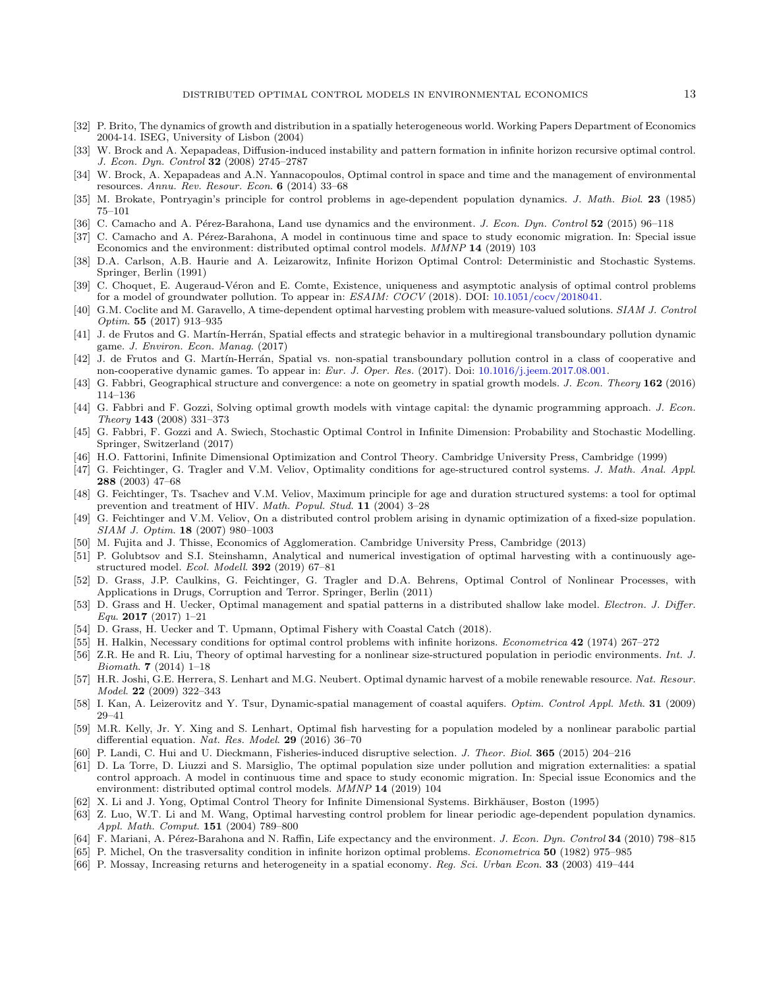- <span id="page-12-24"></span>[32] P. Brito, The dynamics of growth and distribution in a spatially heterogeneous world. Working Papers Department of Economics 2004-14. ISEG, University of Lisbon (2004)
- <span id="page-12-32"></span>[33] W. Brock and A. Xepapadeas, Diffusion-induced instability and pattern formation in infinite horizon recursive optimal control. J. Econ. Dyn. Control 32 (2008) 2745–2787
- <span id="page-12-0"></span>[34] W. Brock, A. Xepapadeas and A.N. Yannacopoulos, Optimal control in space and time and the management of environmental resources. Annu. Rev. Resour. Econ. 6 (2014) 33–68
- <span id="page-12-26"></span>[35] M. Brokate, Pontryagin's principle for control problems in age-dependent population dynamics. J. Math. Biol. 23 (1985) 75–101
- <span id="page-12-7"></span>[36] C. Camacho and A. Pérez-Barahona, Land use dynamics and the environment. J. Econ. Dyn. Control 52 (2015) 96–118
- <span id="page-12-19"></span>[37] C. Camacho and A. Pérez-Barahona, A model in continuous time and space to study economic migration. In: Special issue Economics and the environment: distributed optimal control models. MMNP 14 (2019) 103
- <span id="page-12-3"></span>[38] D.A. Carlson, A.B. Haurie and A. Leizarowitz, Infinite Horizon Optimal Control: Deterministic and Stochastic Systems. Springer, Berlin (1991)
- <span id="page-12-10"></span>[39] C. Choquet, E. Augeraud-Véron and E. Comte, Existence, uniqueness and asymptotic analysis of optimal control problems for a model of groundwater pollution. To appear in: ESAIM: COCV (2018). DOI: [10.1051/cocv/2018041.](https://doi.org/10.1051/cocv/2018041)
- <span id="page-12-30"></span>[40] G.M. Coclite and M. Garavello, A time-dependent optimal harvesting problem with measure-valued solutions. SIAM J. Control Optim. 55 (2017) 913–935
- <span id="page-12-8"></span>[41] J. de Frutos and G. Martín-Herrán, Spatial effects and strategic behavior in a multiregional transboundary pollution dynamic game. J. Environ. Econ. Manag. (2017)
- <span id="page-12-9"></span>[42] J. de Frutos and G. Martín-Herrán, Spatial vs. non-spatial transboundary pollution control in a class of cooperative and non-cooperative dynamic games. To appear in: Eur. J. Oper. Res. (2017). Doi: [10.1016/j.jeem.2017.08.001.](https://doi.org/10.1016/j.jeem.2017.08.001)
- <span id="page-12-25"></span>[43] G. Fabbri, Geographical structure and convergence: a note on geometry in spatial growth models. J. Econ. Theory 162 (2016) 114–136
- <span id="page-12-33"></span>[44] G. Fabbri and F. Gozzi, Solving optimal growth models with vintage capital: the dynamic programming approach. J. Econ. Theory 143 (2008) 331–373
- <span id="page-12-34"></span>[45] G. Fabbri, F. Gozzi and A. Swiech, Stochastic Optimal Control in Infinite Dimension: Probability and Stochastic Modelling. Springer, Switzerland (2017)
- <span id="page-12-28"></span>[46] H.O. Fattorini, Infinite Dimensional Optimization and Control Theory. Cambridge University Press, Cambridge (1999)
- <span id="page-12-27"></span>[47] G. Feichtinger, G. Tragler and V.M. Veliov, Optimality conditions for age-structured control systems. J. Math. Anal. Appl. 288 (2003) 47–68
- <span id="page-12-5"></span>[48] G. Feichtinger, Ts. Tsachev and V.M. Veliov, Maximum principle for age and duration structured systems: a tool for optimal prevention and treatment of HIV. Math. Popul. Stud. 11 (2004) 3–28
- <span id="page-12-31"></span>[49] G. Feichtinger and V.M. Veliov, On a distributed control problem arising in dynamic optimization of a fixed-size population. SIAM J. Optim. 18 (2007) 980–1003
- <span id="page-12-21"></span>[50] M. Fujita and J. Thisse, Economics of Agglomeration. Cambridge University Press, Cambridge (2013)
- <span id="page-12-13"></span>[51] P. Golubtsov and S.I. Steinshamn, Analytical and numerical investigation of optimal harvesting with a continuously agestructured model. Ecol. Modell. 392 (2019) 67–81
- <span id="page-12-4"></span>[52] D. Grass, J.P. Caulkins, G. Feichtinger, G. Tragler and D.A. Behrens, Optimal Control of Nonlinear Processes, with Applications in Drugs, Corruption and Terror. Springer, Berlin (2011)
- <span id="page-12-6"></span>[53] D. Grass and H. Uecker, Optimal management and spatial patterns in a distributed shallow lake model. Electron. J. Differ. Equ. 2017 (2017) 1–21
- <span id="page-12-16"></span>[54] D. Grass, H. Uecker and T. Upmann, Optimal Fishery with Coastal Catch (2018).
- <span id="page-12-1"></span>[55] H. Halkin, Necessary conditions for optimal control problems with infinite horizons. *Econometrica* 42 (1974) 267–272
- <span id="page-12-12"></span>[56] Z.R. He and R. Liu, Theory of optimal harvesting for a nonlinear size-structured population in periodic environments. Int. J. Biomath. 7 (2014) 1–18
- <span id="page-12-17"></span>[57] H.R. Joshi, G.E. Herrera, S. Lenhart and M.G. Neubert. Optimal dynamic harvest of a mobile renewable resource. Nat. Resour. Model. 22 (2009) 322–343
- <span id="page-12-15"></span>[58] I. Kan, A. Leizerovitz and Y. Tsur, Dynamic-spatial management of coastal aquifers. Optim. Control Appl. Meth. 31 (2009) 29–41
- <span id="page-12-18"></span>[59] M.R. Kelly, Jr. Y. Xing and S. Lenhart, Optimal fish harvesting for a population modeled by a nonlinear parabolic partial differential equation. Nat. Res. Model. 29 (2016) 36–70
- <span id="page-12-14"></span>[60] P. Landi, C. Hui and U. Dieckmann, Fisheries-induced disruptive selection. J. Theor. Biol. 365 (2015) 204–216
- <span id="page-12-22"></span>[61] D. La Torre, D. Liuzzi and S. Marsiglio, The optimal population size under pollution and migration externalities: a spatial control approach. A model in continuous time and space to study economic migration. In: Special issue Economics and the environment: distributed optimal control models. MMNP 14 (2019) 104
- <span id="page-12-29"></span>[62] X. Li and J. Yong, Optimal Control Theory for Infinite Dimensional Systems. Birkhäuser, Boston (1995)
- <span id="page-12-11"></span>[63] Z. Luo, W.T. Li and M. Wang, Optimal harvesting control problem for linear periodic age-dependent population dynamics. Appl. Math. Comput. 151 (2004) 789–800
- <span id="page-12-23"></span>[64] F. Mariani, A. Pérez-Barahona and N. Raffin, Life expectancy and the environment. J. Econ. Dyn. Control 34 (2010) 798-815
- <span id="page-12-2"></span>[65] P. Michel, On the trasversality condition in infinite horizon optimal problems. Econometrica 50 (1982) 975–985
- <span id="page-12-20"></span>[66] P. Mossay, Increasing returns and heterogeneity in a spatial economy. Req. Sci. Urban Econ. 33 (2003) 419–444